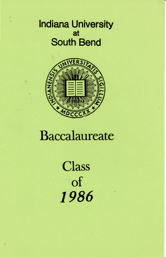# Indiana University at South Bend



# Baccalaureate

**Class** of *1986*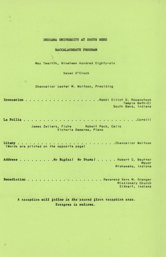## INDIANA UNIVERSITY AT SOUTH BEND

#### BACCALAUREATE PROGRAM

May Twelfth, Nineteen Hundred Eighty-six

Seven O'Clock

Chancellor Lester M. Wolfson, Presiding

n.

Invocation . . . . . . . . . . . . . . Rabbi Elliot D. Rosenstock ۰. Temple Beth-El South Bend, Indiana

La Follia . . . . . . . . . Corelli  $\cdots$  $\begin{array}{cccccccccc} \bullet & \bullet & \bullet & \bullet & \bullet \end{array}$ James Zellers, Flute Robert Peck, Cello

Victoria Demaree, Piano

Litany . . . . . . . . Chancellor Wolfson (Words are printed on the opposite page)

Address . . . . . . . . . No BugLes! No Drums! . . . . . Robert C. Beutter Mayor Mishawaka, Indiana

Benediction . . . . . . . . . . Reverend Vern M. Granger  $\bullet$  $\sim$ Missionary Church Elkhart, Indiana

A reception will follow in the second floor reception area. Everyone is welcome.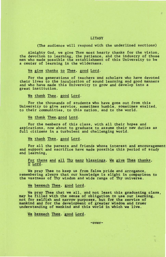#### LITANY

(The audience will respond with the underlined sections)

Almighty God, we give Thee most hearty thanks for the vision, the devotion to learning, the patience, and the industry of those men who made possible the establishment of this University to be a center of learning in the w

We give thanks to Thee, good Lord.

For the generations of teachers and scholars who have devoted their lives to the inculcation of sound learning and good manners and who have made this University to grow and develop into a great institution.

We thank Thee, good Lord.

For the thousands of students who have gone out from this University to give service, sometimes humble, sometimes exalted, to their communities, to this nation, and to the world.

We thank Thee, good Lord.

For the members of this class, with all their hopes and aspirations, now about to graduate to assume their new duties as<br>full citizens in a turbulent and challenging world.

We thank Thee, good Lord.

For all the parents and friends whose interest and encouragement and support and sacrifice have made possible this period of study and learning,

For these and all Thy many blessings, We give Thee thanks, 0 Lord.

We pray Thee to keep us from false pride and arrogance, remembering always that our knowledge is slight in comparison to the vastness of Thy wisdom and wide range of Thy universe.

We beseech Thee, good Lord.

We pray Thee that we all, and not least this graduating class, may be filled with the sense of obligation to use our learning, not for selfish and narrow purposes, but for the service of mankind and for the development of greater wisdom and truer understanding of mankind and this world in which we live.

We beseech Thee, good Lord.

-over-